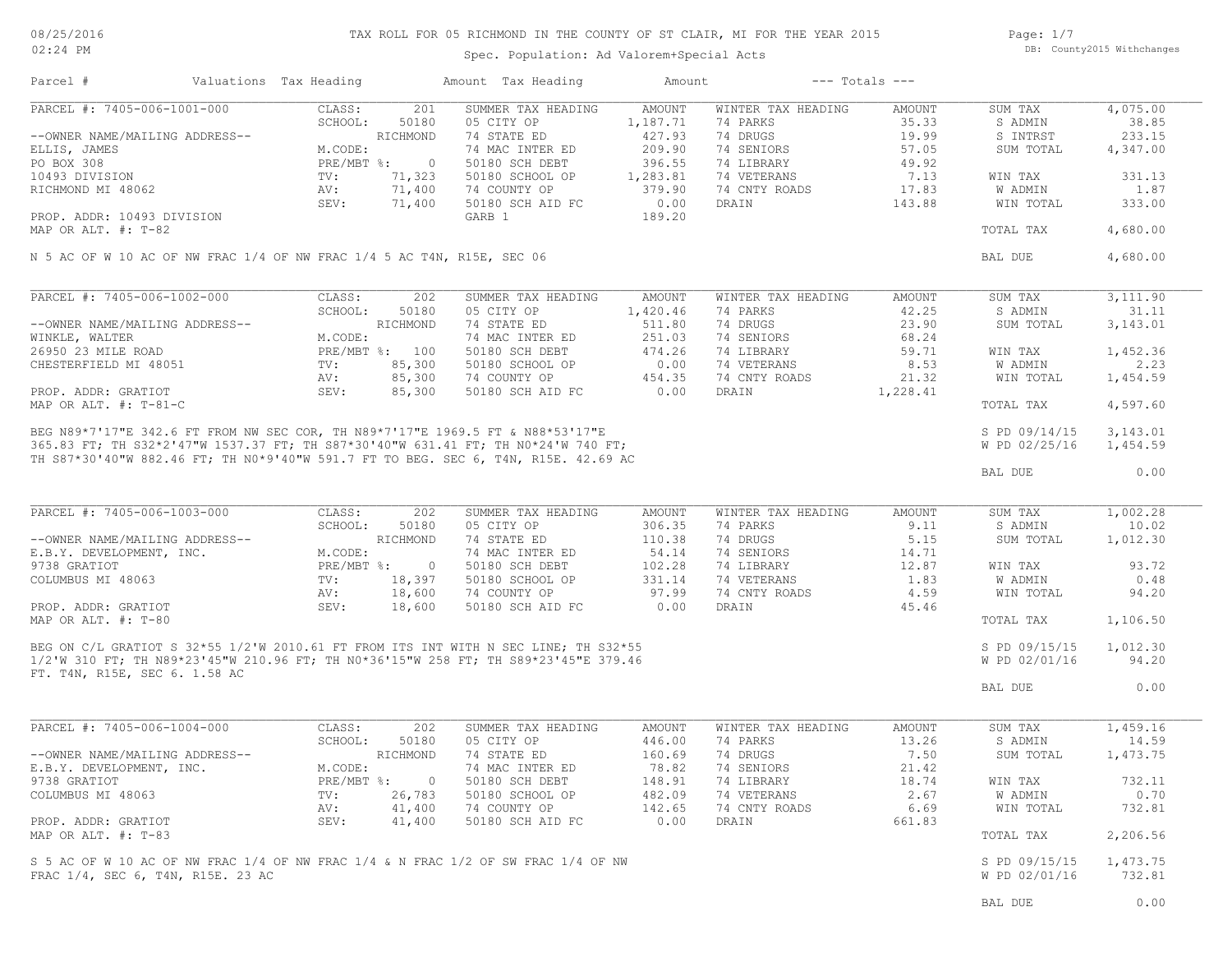# TAX ROLL FOR 05 RICHMOND IN THE COUNTY OF ST CLAIR, MI FOR THE YEAR 2015

Spec. Population: Ad Valorem+Special Acts

Page: 1/7 DB: County2015 Withchanges

| Parcel #                                                                                                                                                                                                                                | Valuations Tax Heading    |                | Amount Tax Heading | Amount                  |                    | $---$ Totals $---$ |               |           |
|-----------------------------------------------------------------------------------------------------------------------------------------------------------------------------------------------------------------------------------------|---------------------------|----------------|--------------------|-------------------------|--------------------|--------------------|---------------|-----------|
| PARCEL #: 7405-006-1001-000                                                                                                                                                                                                             | CLASS:                    | 201            | SUMMER TAX HEADING | AMOUNT                  | WINTER TAX HEADING | AMOUNT             | SUM TAX       | 4,075.00  |
|                                                                                                                                                                                                                                         | SCHOOL:                   | 50180          | 05 CITY OP         | 1,187.71                | 74 PARKS           | 35.33              | S ADMIN       | 38.85     |
| --OWNER NAME/MAILING ADDRESS--                                                                                                                                                                                                          |                           | RICHMOND       | 74 STATE ED        | 427.93                  | 74 DRUGS           | 19.99              | S INTRST      | 233.15    |
| ELLIS, JAMES                                                                                                                                                                                                                            | M.CODE:                   |                | 74 MAC INTER ED    | 209.90                  | 74 SENIORS         | 57.05              | SUM TOTAL     | 4,347.00  |
| PO BOX 308                                                                                                                                                                                                                              | PRE/MBT %:                | $\overline{0}$ | 50180 SCH DEBT     | 396.55                  | 74 LIBRARY         | 49.92              |               |           |
| 10493 DIVISION                                                                                                                                                                                                                          | $\text{TV}$ :             | 71,323         | 50180 SCHOOL OP    | 1,283.81                | 74 VETERANS        | 7.13               | WIN TAX       | 331.13    |
| RICHMOND MI 48062                                                                                                                                                                                                                       | AV:                       | 71,400         | 74 COUNTY OP       | 379.90                  | 74 CNTY ROADS      | 17.83              | W ADMIN       | 1.87      |
|                                                                                                                                                                                                                                         | SEV:                      | 71,400         | 50180 SCH AID FC   | 0.00                    | DRAIN              | 143.88             | WIN TOTAL     | 333.00    |
| PROP. ADDR: 10493 DIVISION                                                                                                                                                                                                              |                           |                | GARB 1             | 189.20                  |                    |                    |               |           |
| MAP OR ALT. #: T-82                                                                                                                                                                                                                     |                           |                |                    |                         |                    |                    | TOTAL TAX     | 4,680.00  |
| N 5 AC OF W 10 AC OF NW FRAC 1/4 OF NW FRAC 1/4 5 AC T4N, R15E, SEC 06                                                                                                                                                                  |                           |                |                    |                         |                    |                    | BAL DUE       | 4,680.00  |
|                                                                                                                                                                                                                                         |                           |                |                    |                         |                    |                    |               |           |
| PARCEL #: 7405-006-1002-000                                                                                                                                                                                                             | CLASS:                    | 202            | SUMMER TAX HEADING | AMOUNT                  | WINTER TAX HEADING | AMOUNT             | SUM TAX       | 3,111.90  |
|                                                                                                                                                                                                                                         | SCHOOL:                   | 50180          | 05 CITY OP         | 1,420.46                | 74 PARKS           | 42.25              | S ADMIN       | 31.11     |
| --OWNER NAME/MAILING ADDRESS--                                                                                                                                                                                                          |                           | RICHMOND       | 74 STATE ED        | 511.80                  | 74 DRUGS           | 23.90              | SUM TOTAL     | 3,143.01  |
| WINKLE, WALTER<br>26950 23 MILE ROAD                                                                                                                                                                                                    | M.CODE:                   |                | 74 MAC INTER ED    | 251.03                  | 74 SENIORS         | 68.24              |               |           |
|                                                                                                                                                                                                                                         | PRE/MBT %: 100            |                | 50180 SCH DEBT     |                         | 74 LIBRARY         | 59.71              | WIN TAX       | 1,452.36  |
| CHESTERFIELD MI 48051                                                                                                                                                                                                                   | $\text{TV}$ :             | 85,300         | 50180 SCHOOL OP    |                         | 74 VETERANS        | 8.53               | W ADMIN       | 2.23      |
|                                                                                                                                                                                                                                         | AV:                       | 85,300         | 74 COUNTY OP       | $474.2c$<br>0.00<br>454 | 74 CNTY ROADS      | 21.32              | WIN TOTAL     | 1,454.59  |
| PROP. ADDR: GRATIOT                                                                                                                                                                                                                     | SEV:                      | 85,300         | 50180 SCH AID FC   |                         | DRAIN              | 1,228.41           |               |           |
| MAP OR ALT. #: T-81-C<br>BEG N89*7'17"E 342.6 FT FROM NW SEC COR, TH N89*7'17"E 1969.5 FT & N88*53'17"E<br>365.83 FT; TH S32*2'47"W 1537.37 FT; TH S87*30'40"W 631.41 FT; TH N0*24'W 740 FT;<br>385.83 FT; TH S32*2'47"W 1537.37 FT; TH |                           |                |                    |                         |                    |                    | TOTAL TAX     | 4,597.60  |
|                                                                                                                                                                                                                                         |                           |                |                    |                         |                    |                    | S PD 09/14/15 | 3, 143.01 |
|                                                                                                                                                                                                                                         |                           |                |                    |                         |                    |                    | W PD 02/25/16 | 1,454.59  |
|                                                                                                                                                                                                                                         |                           |                |                    |                         |                    |                    |               |           |
|                                                                                                                                                                                                                                         |                           |                |                    |                         |                    |                    | BAL DUE       | 0.00      |
|                                                                                                                                                                                                                                         |                           |                |                    |                         |                    |                    |               |           |
|                                                                                                                                                                                                                                         |                           |                |                    |                         |                    |                    |               |           |
| PARCEL #: 7405-006-1003-000                                                                                                                                                                                                             | CLASS:                    | 202            | SUMMER TAX HEADING | AMOUNT                  | WINTER TAX HEADING | AMOUNT             | SUM TAX       | 1,002.28  |
|                                                                                                                                                                                                                                         | SCHOOL:                   | 50180          | 05 CITY OP         | 306.35                  | 74 PARKS           | 9.11               | S ADMIN       | 10.02     |
| --OWNER NAME/MAILING ADDRESS--                                                                                                                                                                                                          |                           | RICHMOND       | 74 STATE ED        | 110.38                  | 74 DRUGS           | 5.15               | SUM TOTAL     | 1,012.30  |
| E.B.Y. DEVELOPMENT, INC.                                                                                                                                                                                                                | M.CODE:                   |                | 74 MAC INTER ED    | 54.14                   | 74 SENIORS         | 14.71              |               |           |
| 9738 GRATIOT                                                                                                                                                                                                                            | $PRE/MBT$ %:              | $\overline{0}$ | 50180 SCH DEBT     | 102.28                  | 74 LIBRARY         | 12.87              | WIN TAX       | 93.72     |
| COLUMBUS MI 48063                                                                                                                                                                                                                       | $\text{TV}$ :             | 18,397         | 50180 SCHOOL OP    | 331.14                  | 74 VETERANS        | 1.83               | W ADMIN       | 0.48      |
|                                                                                                                                                                                                                                         | AV:                       | 18,600         | 74 COUNTY OP       | 97.99                   | 74 CNTY ROADS      | 4.59               | WIN TOTAL     | 94.20     |
| PROP. ADDR: GRATIOT                                                                                                                                                                                                                     | SEV:                      | 18,600         | 50180 SCH AID FC   | 0.00                    | DRAIN              | 45.46              |               |           |
| MAP OR ALT. #: T-80<br>BEG ON C/L GRATIOT S 32*55 1/2'W 2010.61 FT FROM ITS INT WITH N SEC LINE; TH S32*55<br>BEG ON C/L GRATIOT S 32*55 1/2'W 2010.61 FT FROM ITS INT WITH N SEC LINE; TH S32*55                                       |                           |                |                    |                         |                    |                    | TOTAL TAX     | 1,106.50  |
|                                                                                                                                                                                                                                         |                           |                |                    |                         |                    |                    | S PD 09/15/15 | 1,012.30  |
|                                                                                                                                                                                                                                         |                           |                |                    |                         |                    |                    | W PD 02/01/16 | 94.20     |
|                                                                                                                                                                                                                                         |                           |                |                    |                         |                    |                    |               |           |
|                                                                                                                                                                                                                                         |                           |                |                    |                         |                    |                    | BAL DUE       | 0.00      |
|                                                                                                                                                                                                                                         |                           |                |                    |                         |                    |                    |               |           |
|                                                                                                                                                                                                                                         |                           |                |                    |                         |                    |                    |               |           |
| PARCEL #: 7405-006-1004-000                                                                                                                                                                                                             | CLASS:                    | 202            | SUMMER TAX HEADING | AMOUNT                  | WINTER TAX HEADING | AMOUNT             | SUM TAX       | 1,459.16  |
|                                                                                                                                                                                                                                         | SCHOOL:                   | 50180          | 05 CITY OP         | 446.00                  | 74 PARKS           | 13.26              | S ADMIN       | 14.59     |
| --OWNER NAME/MAILING ADDRESS--                                                                                                                                                                                                          |                           | RICHMOND       | 74 STATE ED        | 160.69                  | 74 DRUGS           | 7.50               | SUM TOTAL     | 1,473.75  |
| E.B.Y. DEVELOPMENT, INC.                                                                                                                                                                                                                | M.CODE:                   |                | 74 MAC INTER ED    | 78.82                   | 74 SENIORS         | 21.42              |               |           |
| 9738 GRATIOT                                                                                                                                                                                                                            | $PRE/MBT$ $\frac{1}{6}$ : | $\circ$        | 50180 SCH DEBT     | 148.91                  | 74 LIBRARY         | 18.74              | WIN TAX       | 732.11    |
| COLUMBUS MI 48063                                                                                                                                                                                                                       | TV:                       | 26,783         | 50180 SCHOOL OP    | 482.09                  | 74 VETERANS        | 2.67               | W ADMIN       | 0.70      |
|                                                                                                                                                                                                                                         | AV:                       | 41,400         | 74 COUNTY OP       | 142.65                  | 74 CNTY ROADS      | 6.69               | WIN TOTAL     | 732.81    |
| PROP. ADDR: GRATIOT                                                                                                                                                                                                                     | SEV:                      | 41,400         | 50180 SCH AID FC   | 0.00                    | DRAIN              | 661.83             |               |           |
| MAP OR ALT. #: T-83                                                                                                                                                                                                                     |                           |                |                    |                         |                    |                    | TOTAL TAX     | 2,206.56  |
| S 5 AC OF W 10 AC OF NW FRAC 1/4 OF NW FRAC 1/4 & N FRAC 1/2 OF SW FRAC 1/4 OF NW                                                                                                                                                       |                           |                |                    |                         |                    |                    | S PD 09/15/15 | 1,473.75  |
| FRAC 1/4, SEC 6, T4N, R15E. 23 AC                                                                                                                                                                                                       |                           |                |                    |                         |                    |                    | W PD 02/01/16 | 732.81    |
|                                                                                                                                                                                                                                         |                           |                |                    |                         |                    |                    |               |           |
|                                                                                                                                                                                                                                         |                           |                |                    |                         |                    |                    | BAL DUE       | 0.00      |
|                                                                                                                                                                                                                                         |                           |                |                    |                         |                    |                    |               |           |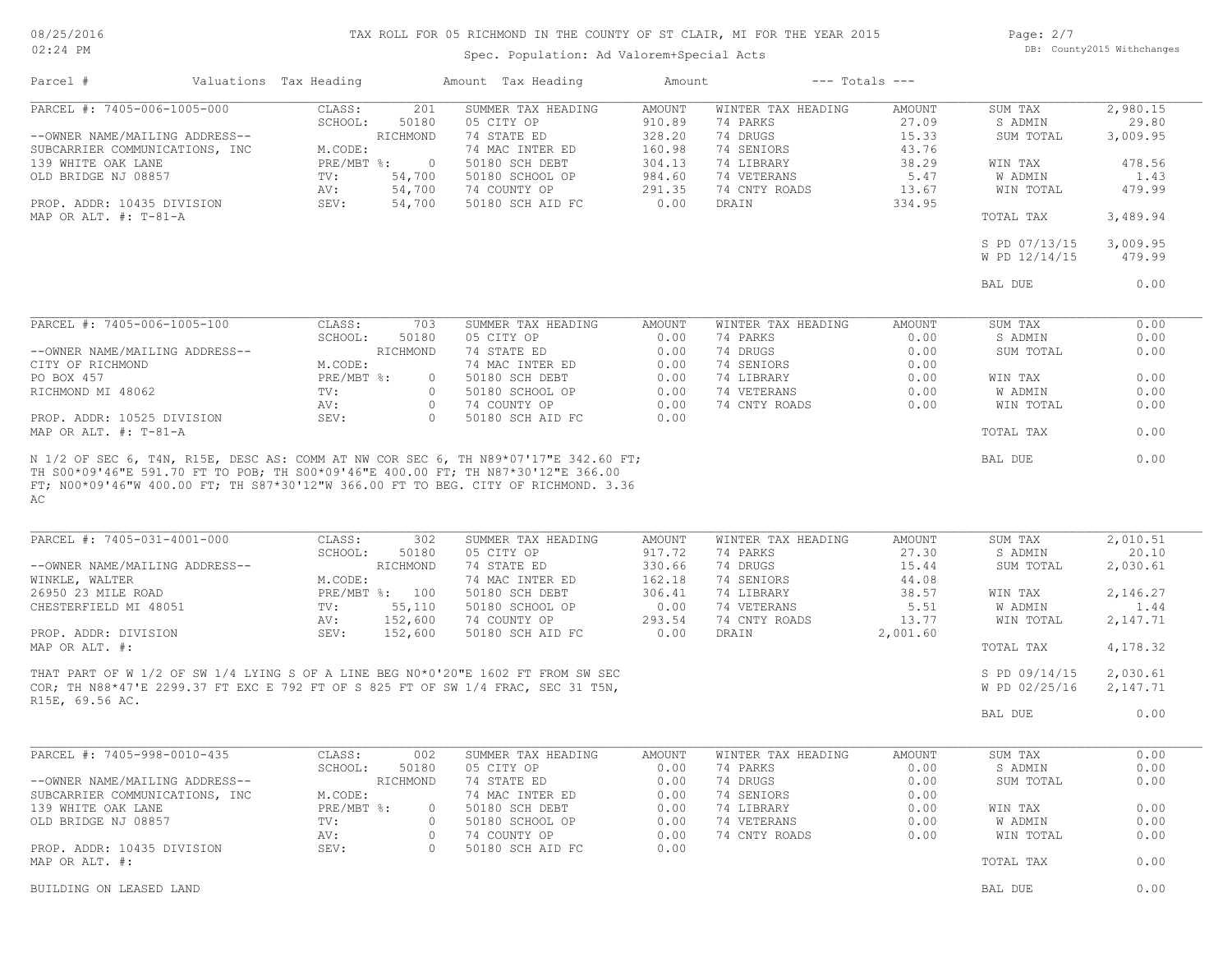#### 08/25/2016 02:24 PM

# TAX ROLL FOR 05 RICHMOND IN THE COUNTY OF ST CLAIR, MI FOR THE YEAR 2015

Spec. Population: Ad Valorem+Special Acts

Page: 2/7 DB: County2015 Withchanges

| Parcel #                                                         | Valuations Tax Heading |                         |              | Amount Tax Heading                                                               | Amount                  |                                | $---$ Totals $---$ |                                |                    |
|------------------------------------------------------------------|------------------------|-------------------------|--------------|----------------------------------------------------------------------------------|-------------------------|--------------------------------|--------------------|--------------------------------|--------------------|
| PARCEL #: 7405-006-1005-000                                      |                        | CLASS:<br>SCHOOL:       | 201<br>50180 | SUMMER TAX HEADING<br>05 CITY OP                                                 | <b>AMOUNT</b><br>910.89 | WINTER TAX HEADING<br>74 PARKS | AMOUNT<br>27.09    | SUM TAX<br>S ADMIN             | 2,980.15<br>29.80  |
| --OWNER NAME/MAILING ADDRESS--<br>SUBCARRIER COMMUNICATIONS, INC |                        | RICHMOND<br>M.CODE:     |              | 74 STATE ED<br>74 MAC INTER ED                                                   | 328.20<br>160.98        | 74 DRUGS<br>74 SENIORS         | 15.33<br>43.76     | SUM TOTAL                      | 3,009.95           |
| 139 WHITE OAK LANE                                               |                        | $PRE/MBT$ $\div$        | $\circ$      | 50180 SCH DEBT                                                                   | 304.13                  | 74 LIBRARY                     | 38.29              | WIN TAX                        | 478.56             |
| OLD BRIDGE NJ 08857                                              |                        | 54,700<br>TV:           |              | 50180 SCHOOL OP                                                                  | 984.60                  | 74 VETERANS                    | 5.47               | W ADMIN                        | 1.43               |
|                                                                  |                        | 54,700<br>AV:           |              | 74 COUNTY OP                                                                     | 291.35                  | 74 CNTY ROADS                  | 13.67              | WIN TOTAL                      | 479.99             |
| PROP. ADDR: 10435 DIVISION<br>MAP OR ALT. $\#$ : T-81-A          |                        | SEV:                    | 54,700       | 50180 SCH AID FC                                                                 | 0.00                    | DRAIN                          | 334.95             | TOTAL TAX                      | 3,489.94           |
|                                                                  |                        |                         |              |                                                                                  |                         |                                |                    |                                |                    |
|                                                                  |                        |                         |              |                                                                                  |                         |                                |                    | S PD 07/13/15<br>W PD 12/14/15 | 3,009.95<br>479.99 |
|                                                                  |                        |                         |              |                                                                                  |                         |                                |                    | BAL DUE                        | 0.00               |
|                                                                  |                        |                         |              |                                                                                  |                         |                                |                    |                                |                    |
| PARCEL #: 7405-006-1005-100                                      |                        | CLASS:                  | 703          | SUMMER TAX HEADING                                                               | AMOUNT                  | WINTER TAX HEADING             | AMOUNT             | SUM TAX                        | 0.00               |
| --OWNER NAME/MAILING ADDRESS--                                   |                        | SCHOOL:<br>RICHMOND     | 50180        | 05 CITY OP<br>74 STATE ED                                                        | 0.00<br>0.00            | 74 PARKS<br>74 DRUGS           | 0.00<br>0.00       | S ADMIN<br>SUM TOTAL           | 0.00<br>0.00       |
| CITY OF RICHMOND                                                 |                        | M.CODE:                 |              | 74 MAC INTER ED                                                                  | 0.00                    | 74 SENIORS                     | 0.00               |                                |                    |
| PO BOX 457                                                       |                        | PRE/MBT %:              | $\circ$      | 50180 SCH DEBT                                                                   | 0.00                    | 74 LIBRARY                     | 0.00               | WIN TAX                        | 0.00               |
| RICHMOND MI 48062                                                |                        | TV:                     | $\circ$      | 50180 SCHOOL OP                                                                  | 0.00                    | 74 VETERANS                    | 0.00               | W ADMIN                        | 0.00               |
|                                                                  |                        | AV:                     | $\circ$      | 74 COUNTY OP                                                                     | 0.00                    | 74 CNTY ROADS                  | 0.00               | WIN TOTAL                      | 0.00               |
| PROP. ADDR: 10525 DIVISION<br>MAP OR ALT. #: T-81-A              |                        | SEV:                    | $\bigcirc$   | 50180 SCH AID FC                                                                 | 0.00                    |                                |                    | TOTAL TAX                      | 0.00               |
|                                                                  |                        |                         |              |                                                                                  |                         |                                |                    |                                |                    |
| AC                                                               |                        |                         |              |                                                                                  |                         |                                |                    |                                |                    |
| PARCEL #: 7405-031-4001-000                                      |                        | CLASS:<br>SCHOOL:       | 302<br>50180 | SUMMER TAX HEADING<br>05 CITY OP                                                 | AMOUNT<br>917.72        | WINTER TAX HEADING<br>74 PARKS | AMOUNT<br>27.30    | SUM TAX<br>S ADMIN             | 2,010.51<br>20.10  |
| --OWNER NAME/MAILING ADDRESS--                                   |                        | RICHMOND                |              | 74 STATE ED                                                                      | 330.66                  | 74 DRUGS                       | 15.44              | SUM TOTAL                      | 2,030.61           |
| WINKLE, WALTER                                                   |                        | M.CODE:                 |              | 74 MAC INTER ED                                                                  | 162.18                  | 74 SENIORS                     | 44.08              |                                |                    |
| 26950 23 MILE ROAD                                               |                        | PRE/MBT %: 100          |              | 50180 SCH DEBT                                                                   | 306.41                  | 74 LIBRARY                     | 38.57              | WIN TAX                        | 2,146.27           |
| CHESTERFIELD MI 48051                                            |                        | 55,110<br>TV:           |              | 50180 SCHOOL OP                                                                  | 0.00                    | 74 VETERANS                    | 5.51               | W ADMIN                        | 1.44               |
| PROP. ADDR: DIVISION                                             |                        | 152,600<br>AV:<br>SEV:  |              | 74 COUNTY OP                                                                     | 293.54<br>0.00          | 74 CNTY ROADS<br>DRAIN         | 13.77              | WIN TOTAL                      | 2,147.71           |
| MAP OR ALT. #:                                                   |                        | 152,600                 |              | 50180 SCH AID FC                                                                 |                         |                                | 2,001.60           | TOTAL TAX                      | 4,178.32           |
|                                                                  |                        |                         |              | THAT PART OF W 1/2 OF SW 1/4 LYING S OF A LINE BEG N0*0'20"E 1602 FT FROM SW SEC |                         |                                |                    | S PD 09/14/15                  | 2,030.61           |
|                                                                  |                        |                         |              | COR; TH N88*47'E 2299.37 FT EXC E 792 FT OF S 825 FT OF SW 1/4 FRAC, SEC 31 T5N, |                         |                                |                    | W PD 02/25/16                  | 2,147.71           |
| R15E, 69.56 AC.                                                  |                        |                         |              |                                                                                  |                         |                                |                    | BAL DUE                        | 0.00               |
|                                                                  |                        |                         |              |                                                                                  |                         |                                |                    |                                |                    |
| PARCEL #: 7405-998-0010-435                                      |                        | CLASS:                  | 002          | SUMMER TAX HEADING                                                               | <b>AMOUNT</b>           | WINTER TAX HEADING             | AMOUNT             | SUM TAX                        | 0.00               |
|                                                                  |                        | SCHOOL: 50180           |              | 05 CITY OP                                                                       | 0.00                    | 74 PARKS                       | 0.00               | S ADMIN                        | 0.00               |
| --OWNER NAME/MAILING ADDRESS--                                   |                        | RICHMOND                |              | 74 STATE ED                                                                      | 0.00                    | 74 DRUGS                       | 0.00               | SUM TOTAL                      | 0.00               |
| SUBCARRIER COMMUNICATIONS, INC<br>139 WHITE OAK LANE             |                        | M.CODE:<br>$PRE/MBT$ %: | $\circ$      | 74 MAC INTER ED<br>50180 SCH DEBT                                                | 0.00<br>0.00            | 74 SENIORS<br>74 LIBRARY       | 0.00<br>0.00       | WIN TAX                        | 0.00               |
| OLD BRIDGE NJ 08857                                              |                        | TV:                     | $\circ$      | 50180 SCHOOL OP                                                                  | 0.00                    | 74 VETERANS                    | 0.00               | W ADMIN                        | 0.00               |
|                                                                  |                        | AV:                     | $\circ$      | 74 COUNTY OP                                                                     | 0.00                    | 74 CNTY ROADS                  | 0.00               | WIN TOTAL                      | 0.00               |
| PROP. ADDR: 10435 DIVISION                                       |                        | SEV:                    | $\circ$      | 50180 SCH AID FC                                                                 | 0.00                    |                                |                    |                                |                    |
| MAP OR ALT. #:                                                   |                        |                         |              |                                                                                  |                         |                                |                    | TOTAL TAX                      | 0.00               |
| BUILDING ON LEASED LAND                                          |                        |                         |              |                                                                                  |                         |                                |                    | BAL DUE                        | 0.00               |
|                                                                  |                        |                         |              |                                                                                  |                         |                                |                    |                                |                    |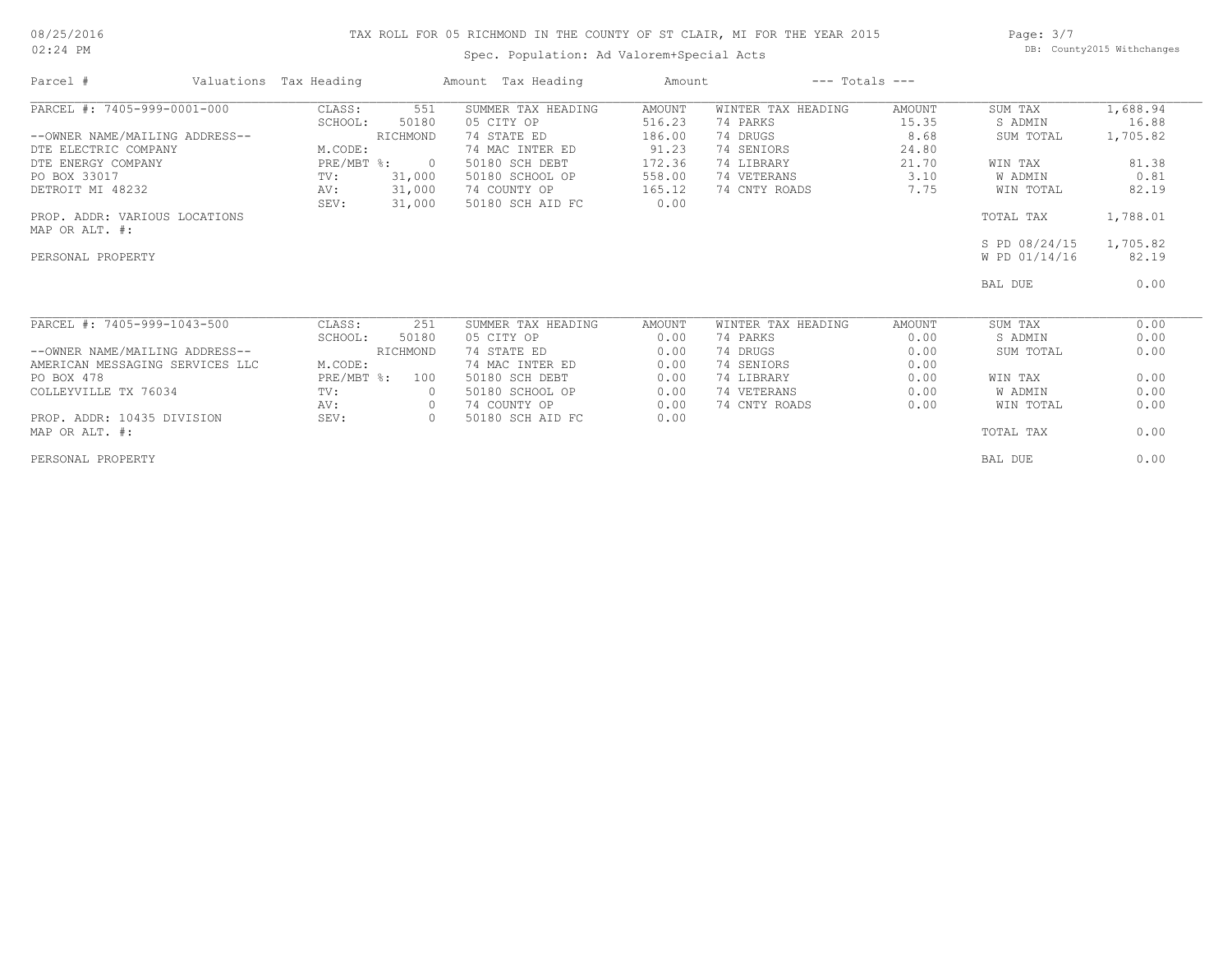#### 08/25/2016 02:24 PM

# TAX ROLL FOR 05 RICHMOND IN THE COUNTY OF ST CLAIR, MI FOR THE YEAR 2015

Spec. Population: Ad Valorem+Special Acts

Page: 3/7 DB: County2015 Withchanges

| Parcel #                        | Valuations Tax Heading |                | Amount Tax Heading | Amount |                    | $---$ Totals $---$ |               |          |
|---------------------------------|------------------------|----------------|--------------------|--------|--------------------|--------------------|---------------|----------|
| PARCEL #: 7405-999-0001-000     | CLASS:                 | 551            | SUMMER TAX HEADING | AMOUNT | WINTER TAX HEADING | AMOUNT             | SUM TAX       | 1,688.94 |
|                                 | SCHOOL:                | 50180          | 05 CITY OP         | 516.23 | 74 PARKS           | 15.35              | S ADMIN       | 16.88    |
| --OWNER NAME/MAILING ADDRESS--  |                        | RICHMOND       | 74 STATE ED        | 186.00 | 74 DRUGS           | 8.68               | SUM TOTAL     | 1,705.82 |
| DTE ELECTRIC COMPANY            | M.CODE:                |                | 74 MAC INTER ED    | 91.23  | 74 SENIORS         | 24.80              |               |          |
| DTE ENERGY COMPANY              |                        | PRE/MBT %: 0   | 50180 SCH DEBT     | 172.36 | 74 LIBRARY         | 21.70              | WIN TAX       | 81.38    |
| PO BOX 33017                    | TV:                    | 31,000         | 50180 SCHOOL OP    | 558.00 | 74 VETERANS        | 3.10               | W ADMIN       | 0.81     |
| DETROIT MI 48232                | AV:                    | 31,000         | 74 COUNTY OP       | 165.12 | 74 CNTY ROADS      | 7.75               | WIN TOTAL     | 82.19    |
|                                 | SEV:                   | 31,000         | 50180 SCH AID FC   | 0.00   |                    |                    |               |          |
| PROP. ADDR: VARIOUS LOCATIONS   |                        |                |                    |        |                    |                    | TOTAL TAX     | 1,788.01 |
| MAP OR ALT. #:                  |                        |                |                    |        |                    |                    |               |          |
|                                 |                        |                |                    |        |                    |                    | S PD 08/24/15 | 1,705.82 |
| PERSONAL PROPERTY               |                        |                |                    |        |                    |                    | W PD 01/14/16 | 82.19    |
|                                 |                        |                |                    |        |                    |                    | BAL DUE       | 0.00     |
| PARCEL #: 7405-999-1043-500     | CLASS:                 | 251            | SUMMER TAX HEADING | AMOUNT | WINTER TAX HEADING | AMOUNT             | SUM TAX       | 0.00     |
|                                 | SCHOOL:                | 50180          | 05 CITY OP         | 0.00   | 74 PARKS           | 0.00               | S ADMIN       | 0.00     |
| --OWNER NAME/MAILING ADDRESS--  |                        | RICHMOND       | 74 STATE ED        | 0.00   | 74 DRUGS           | 0.00               | SUM TOTAL     | 0.00     |
| AMERICAN MESSAGING SERVICES LLC | M.CODE:                |                | 74 MAC INTER ED    | 0.00   | 74 SENIORS         | 0.00               |               |          |
| PO BOX 478                      | $PRE/MBT$ $\div$       | 100            | 50180 SCH DEBT     | 0.00   | 74 LIBRARY         | 0.00               | WIN TAX       | 0.00     |
| COLLEYVILLE TX 76034            | TV:                    | $\overline{0}$ | 50180 SCHOOL OP    | 0.00   | 74 VETERANS        | 0.00               | W ADMIN       | 0.00     |
|                                 | AV:                    | $\circ$        | 74 COUNTY OP       | 0.00   | 74 CNTY ROADS      | 0.00               | WIN TOTAL     | 0.00     |
| PROP. ADDR: 10435 DIVISION      | SEV:                   | $\circ$        | 50180 SCH AID FC   | 0.00   |                    |                    |               |          |
| MAP OR ALT. #:                  |                        |                |                    |        |                    |                    | TOTAL TAX     | 0.00     |
| PERSONAL PROPERTY               |                        |                |                    |        |                    |                    | BAL DUE       | 0.00     |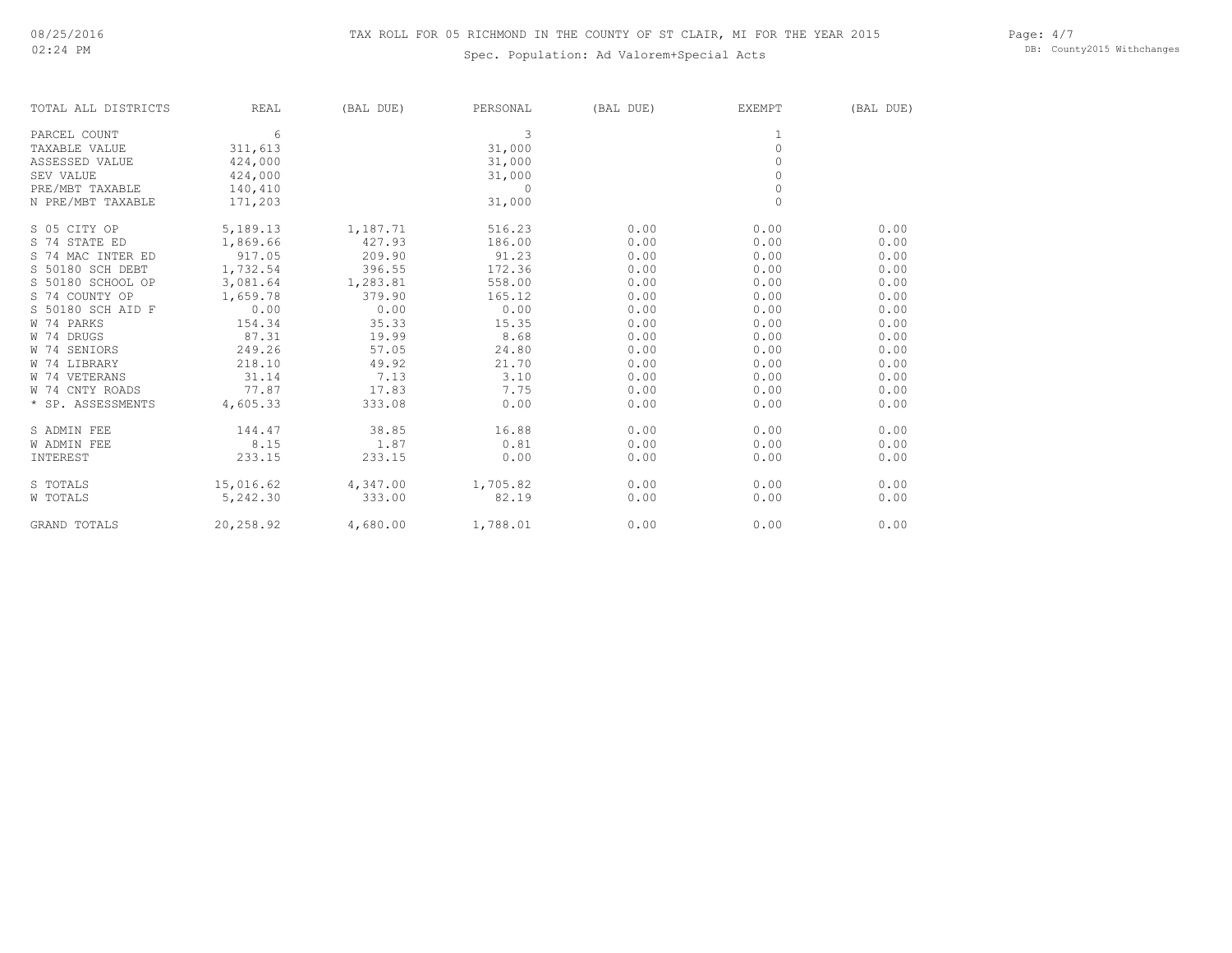# Spec. Population: Ad Valorem+Special Acts

Page: 4/7 DB: County2015 Withchanges

| TOTAL ALL DISTRICTS | <b>REAL</b> | (BAL DUE) | PERSONAL | (BAL DUE) | <b>EXEMPT</b>       | (BAL DUE) |
|---------------------|-------------|-----------|----------|-----------|---------------------|-----------|
| PARCEL COUNT        | 6           |           | 3        |           |                     |           |
| TAXABLE VALUE       | 311,613     |           | 31,000   |           | $\mathbb O$         |           |
| ASSESSED VALUE      | 424,000     |           | 31,000   |           | $\Omega$            |           |
| SEV VALUE           | 424,000     |           | 31,000   |           | $\Omega$            |           |
| PRE/MBT TAXABLE     | 140,410     |           | $\Omega$ |           | $\mathsf{O}\xspace$ |           |
| N PRE/MBT TAXABLE   | 171,203     |           | 31,000   |           | $\mathbf{0}$        |           |
| S 05 CITY OP        | 5,189.13    | 1,187.71  | 516.23   | 0.00      | 0.00                | 0.00      |
| S 74 STATE ED       | 1,869.66    | 427.93    | 186.00   | 0.00      | 0.00                | 0.00      |
| S 74 MAC INTER ED   | 917.05      | 209.90    | 91.23    | 0.00      | 0.00                | 0.00      |
| S 50180 SCH DEBT    | 1,732.54    | 396.55    | 172.36   | 0.00      | 0.00                | 0.00      |
| S 50180 SCHOOL OP   | 3,081.64    | 1,283.81  | 558.00   | 0.00      | 0.00                | 0.00      |
| S 74 COUNTY OP      | 1,659.78    | 379.90    | 165.12   | 0.00      | 0.00                | 0.00      |
| S 50180 SCH AID F   | 0.00        | 0.00      | 0.00     | 0.00      | 0.00                | 0.00      |
| W 74 PARKS          | 154.34      | 35.33     | 15.35    | 0.00      | 0.00                | 0.00      |
| W 74 DRUGS          | 87.31       | 19.99     | 8.68     | 0.00      | 0.00                | 0.00      |
| W 74 SENIORS        | 249.26      | 57.05     | 24.80    | 0.00      | 0.00                | 0.00      |
| W 74 LIBRARY        | 218.10      | 49.92     | 21.70    | 0.00      | 0.00                | 0.00      |
| W 74 VETERANS       | 31.14       | 7.13      | 3.10     | 0.00      | 0.00                | 0.00      |
| W 74 CNTY ROADS     | 77.87       | 17.83     | 7.75     | 0.00      | 0.00                | 0.00      |
| * SP. ASSESSMENTS   | 4,605.33    | 333.08    | 0.00     | 0.00      | 0.00                | 0.00      |
| S ADMIN FEE         | 144.47      | 38.85     | 16.88    | 0.00      | 0.00                | 0.00      |
| <b>W ADMIN FEE</b>  | 8.15        | 1.87      | 0.81     | 0.00      | 0.00                | 0.00      |
| INTEREST            | 233.15      | 233.15    | 0.00     | 0.00      | 0.00                | 0.00      |
| S TOTALS            | 15,016.62   | 4,347.00  | 1,705.82 | 0.00      | 0.00                | 0.00      |
| W TOTALS            | 5,242.30    | 333.00    | 82.19    | 0.00      | 0.00                | 0.00      |
| <b>GRAND TOTALS</b> | 20,258.92   | 4,680.00  | 1,788.01 | 0.00      | 0.00                | 0.00      |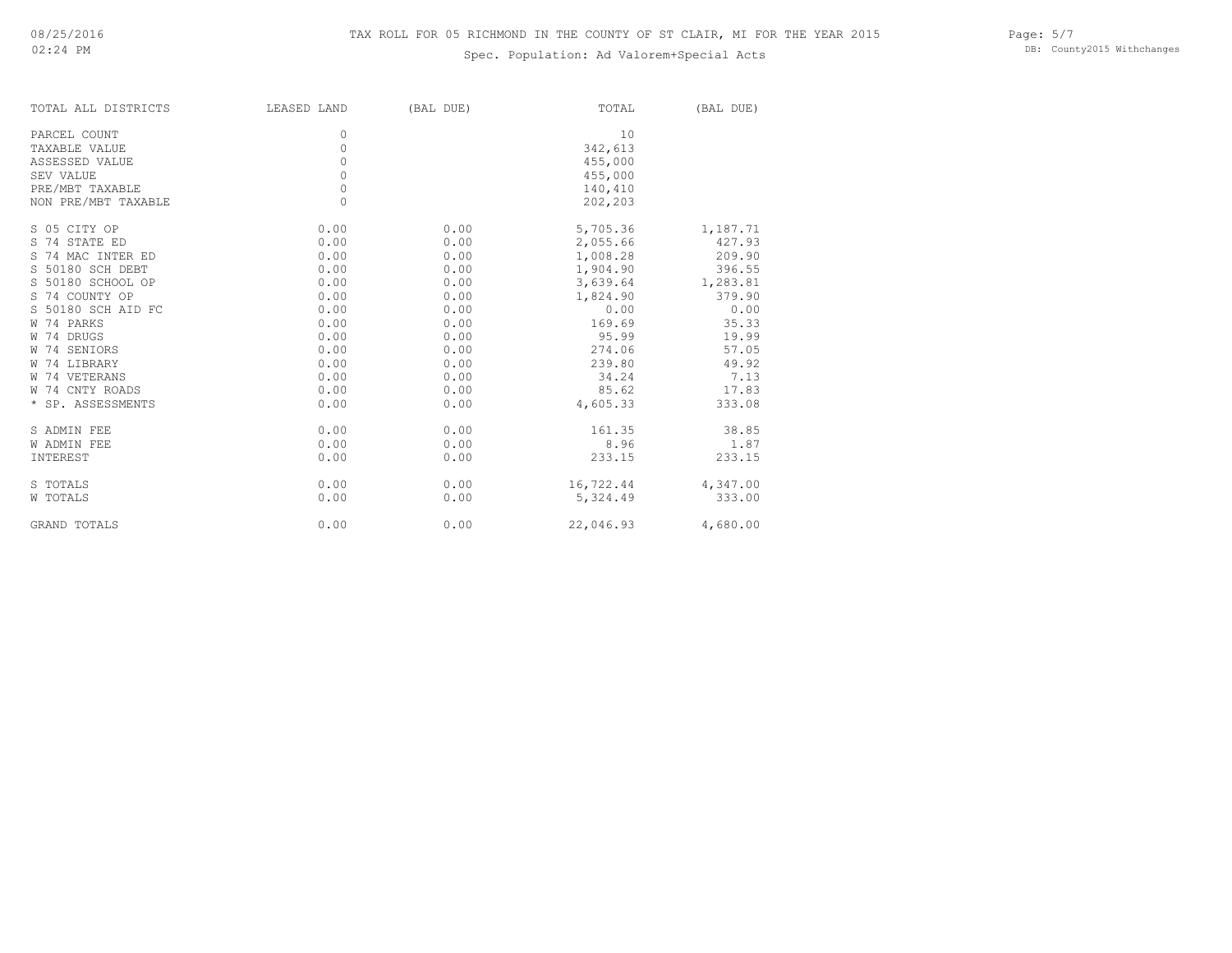# Spec. Population: Ad Valorem+Special Acts

Page: 5/7 DB: County2015 Withchanges

| TOTAL ALL DISTRICTS | LEASED LAND | (BAL DUE) | TOTAL     | (BAL DUE) |
|---------------------|-------------|-----------|-----------|-----------|
| PARCEL COUNT        | $\Omega$    |           | 10        |           |
| TAXABLE VALUE       | 0           |           | 342,613   |           |
| ASSESSED VALUE      | 0           |           | 455,000   |           |
| SEV VALUE           | 0           |           | 455,000   |           |
| PRE/MBT TAXABLE     | $\circ$     |           | 140,410   |           |
| NON PRE/MBT TAXABLE | $\Omega$    |           | 202,203   |           |
| S 05 CITY OP        | 0.00        | 0.00      | 5,705.36  | 1,187.71  |
| S 74 STATE ED       | 0.00        | 0.00      | 2,055.66  | 427.93    |
| S 74 MAC INTER ED   | 0.00        | 0.00      | 1,008.28  | 209.90    |
| S 50180 SCH DEBT    | 0.00        | 0.00      | 1,904.90  | 396.55    |
| S 50180 SCHOOL OP   | 0.00        | 0.00      | 3,639.64  | 1,283.81  |
| S 74 COUNTY OP      | 0.00        | 0.00      | 1,824.90  | 379.90    |
| S 50180 SCH AID FC  | 0.00        | 0.00      | 0.00      | 0.00      |
| W 74 PARKS          | 0.00        | 0.00      | 169.69    | 35.33     |
| W 74 DRUGS          | 0.00        | 0.00      | 95.99     | 19.99     |
| W 74 SENIORS        | 0.00        | 0.00      | 274.06    | 57.05     |
| W 74 LIBRARY        | 0.00        | 0.00      | 239.80    | 49.92     |
| W 74 VETERANS       | 0.00        | 0.00      | 34.24     | 7.13      |
| W 74 CNTY ROADS     | 0.00        | 0.00      | 85.62     | 17.83     |
| * SP. ASSESSMENTS   | 0.00        | 0.00      | 4,605.33  | 333.08    |
| S ADMIN FEE         | 0.00        | 0.00      | 161.35    | 38.85     |
| W ADMIN FEE         | 0.00        | 0.00      | 8.96      | 1.87      |
| INTEREST            | 0.00        | 0.00      | 233.15    | 233.15    |
| S TOTALS            | 0.00        | 0.00      | 16,722.44 | 4,347.00  |
| W TOTALS            | 0.00        | 0.00      | 5,324.49  | 333.00    |
| GRAND TOTALS        | 0.00        | 0.00      | 22,046.93 | 4,680.00  |
|                     |             |           |           |           |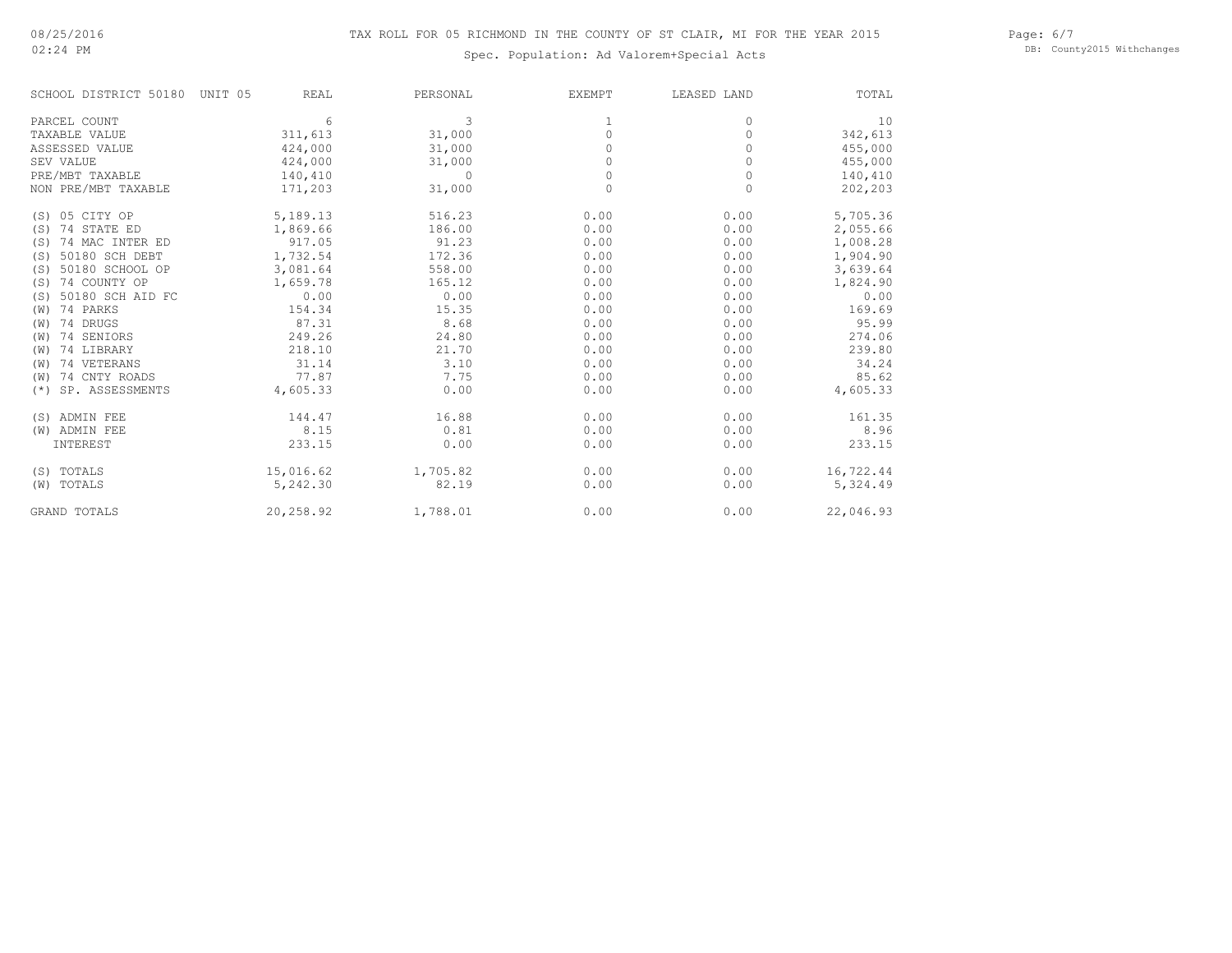# 02:24 PM

Spec. Population: Ad Valorem+Special Acts

Page: 6/7 DB: County2015 Withchanges

| SCHOOL DISTRICT 50180    | UNIT 05<br>REAL | PERSONAL | <b>EXEMPT</b> | LEASED LAND | TOTAL     |
|--------------------------|-----------------|----------|---------------|-------------|-----------|
| PARCEL COUNT             | 6               | 3        |               | 0           | 10        |
| TAXABLE VALUE            | 311,613         | 31,000   | 0             | 0           | 342,613   |
| ASSESSED VALUE           | 424,000         | 31,000   | $\Omega$      | 0           | 455,000   |
| SEV VALUE                | 424,000         | 31,000   |               | 0           | 455,000   |
| PRE/MBT TAXABLE          | 140,410         | $\Omega$ | 0             | 0           | 140,410   |
| NON PRE/MBT TAXABLE      | 171,203         | 31,000   | $\Omega$      | $\Omega$    | 202,203   |
| (S) 05 CITY OP           | 5,189.13        | 516.23   | 0.00          | 0.00        | 5,705.36  |
| 74 STATE ED<br>(S)       | 1,869.66        | 186.00   | 0.00          | 0.00        | 2,055.66  |
| 74 MAC INTER ED<br>(S)   | 917.05          | 91.23    | 0.00          | 0.00        | 1,008.28  |
| 50180 SCH DEBT<br>(S)    | 1,732.54        | 172.36   | 0.00          | 0.00        | 1,904.90  |
| 50180 SCHOOL OP<br>(S)   | 3,081.64        | 558.00   | 0.00          | 0.00        | 3,639.64  |
| 74 COUNTY OP<br>(S)      | 1,659.78        | 165.12   | 0.00          | 0.00        | 1,824.90  |
| 50180 SCH AID FC<br>(S)  | 0.00            | 0.00     | 0.00          | 0.00        | 0.00      |
| 74 PARKS<br>(W)          | 154.34          | 15.35    | 0.00          | 0.00        | 169.69    |
| 74 DRUGS<br>(W)          | 87.31           | 8.68     | 0.00          | 0.00        | 95.99     |
| 74 SENIORS<br>(W)        | 249.26          | 24.80    | 0.00          | 0.00        | 274.06    |
| 74 LIBRARY<br>(W)        | 218.10          | 21.70    | 0.00          | 0.00        | 239.80    |
| 74 VETERANS<br>(W)       | 31.14           | 3.10     | 0.00          | 0.00        | 34.24     |
| 74 CNTY ROADS<br>(W)     | 77.87           | 7.75     | 0.00          | 0.00        | 85.62     |
| SP. ASSESSMENTS<br>$(*)$ | 4,605.33        | 0.00     | 0.00          | 0.00        | 4,605.33  |
| (S) ADMIN FEE            | 144.47          | 16.88    | 0.00          | 0.00        | 161.35    |
| (W) ADMIN FEE            | 8.15            | 0.81     | 0.00          | 0.00        | 8.96      |
| INTEREST                 | 233.15          | 0.00     | 0.00          | 0.00        | 233.15    |
| (S) TOTALS               | 15,016.62       | 1,705.82 | 0.00          | 0.00        | 16,722.44 |
| (W) TOTALS               | 5,242.30        | 82.19    | 0.00          | 0.00        | 5,324.49  |
| <b>GRAND TOTALS</b>      | 20,258.92       | 1,788.01 | 0.00          | 0.00        | 22,046.93 |